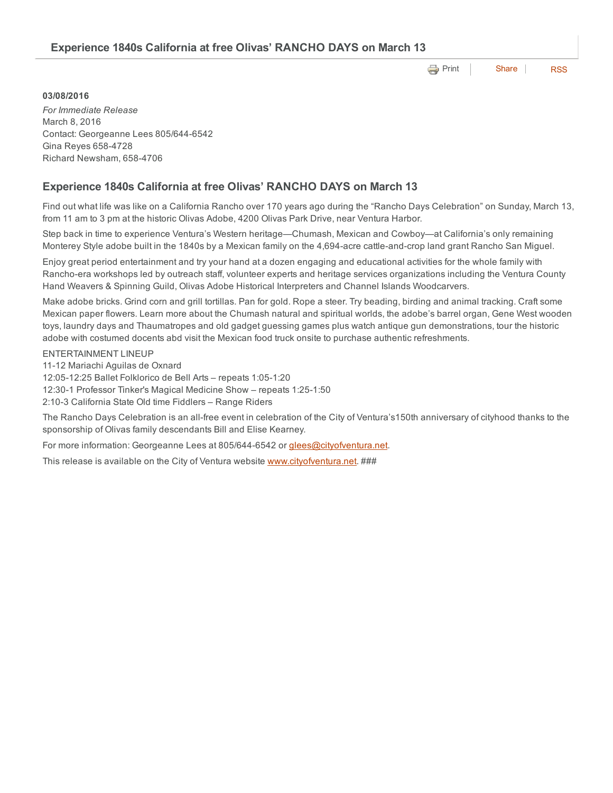**e** [Print](http://www.cityofventura.net/print/17520) | [Share](javascript:void(0)) | [RSS](http://www.cityofventura.net/feed/press_release/rss.xml)

### 03/08/2016

*For Immediate Release* March 8, 2016 Contact: Georgeanne Lees 805/644-6542 Gina Reyes 6584728 Richard Newsham, 6584706

## Experience 1840s California at free Olivas' RANCHO DAYS on March 13

Find out what life was like on a California Rancho over 170 years ago during the "Rancho Days Celebration" on Sunday, March 13, from 11 am to 3 pm at the historic Olivas Adobe, 4200 Olivas Park Drive, near Ventura Harbor.

Step back in time to experience Ventura's Western heritage—Chumash, Mexican and Cowboy—at California's only remaining Monterey Style adobe built in the 1840s by a Mexican family on the 4,694-acre cattle-and-crop land grant Rancho San Miguel.

Enjoy great period entertainment and try your hand at a dozen engaging and educational activities for the whole family with Rancho-era workshops led by outreach staff, volunteer experts and heritage services organizations including the Ventura County Hand Weavers & Spinning Guild, Olivas Adobe Historical Interpreters and Channel Islands Woodcarvers.

Make adobe bricks. Grind corn and grill tortillas. Pan for gold. Rope a steer. Try beading, birding and animal tracking. Craft some Mexican paper flowers. Learn more about the Chumash natural and spiritual worlds, the adobe's barrel organ, Gene West wooden toys, laundry days and Thaumatropes and old gadget guessing games plus watch antique gun demonstrations, tour the historic adobe with costumed docents abd visit the Mexican food truck onsite to purchase authentic refreshments.

### ENTERTAINMENT LINEUP

11-12 Mariachi Aguilas de Oxnard

12:0512:25 Ballet Folklorico de Bell Arts – repeats 1:051:20

12:30-1 Professor Tinker's Magical Medicine Show - repeats 1:25-1:50

2:10-3 California State Old time Fiddlers - Range Riders

The Rancho Days Celebration is an all-free event in celebration of the City of Ventura's150th anniversary of cityhood thanks to the sponsorship of Olivas family descendants Bill and Elise Kearney.

For more information: Georgeanne Lees at 805/644-6542 or [glees@cityofventura.net](mailto:glees@cityofventura.net).

This release is available on the City of Ventura website [www.cityofventura.net](http://www.cityofventura.net/). ###